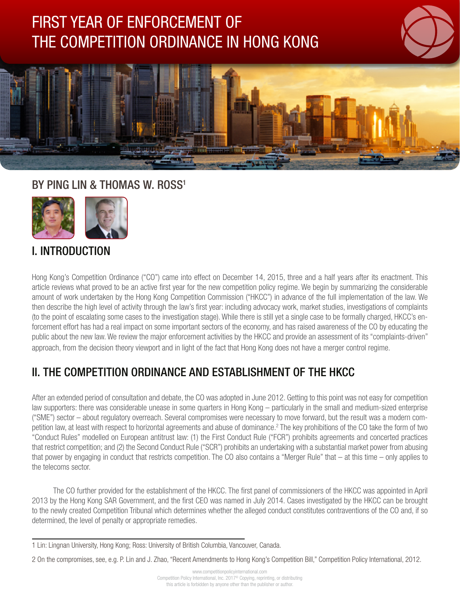# FIRST YEAR OF ENFORCEMENT OF THE COMPETITION ORDINANCE IN HONG KONG





# BY PING LIN & THOMAS W. ROSS<sup>1</sup>



# I. INTRODUCTION

Hong Kong's Competition Ordinance ("CO") came into effect on December 14, 2015, three and a half years after its enactment. This article reviews what proved to be an active first year for the new competition policy regime. We begin by summarizing the considerable amount of work undertaken by the Hong Kong Competition Commission ("HKCC") in advance of the full implementation of the law. We then describe the high level of activity through the law's first year: including advocacy work, market studies, investigations of complaints (to the point of escalating some cases to the investigation stage). While there is still yet a single case to be formally charged, HKCC's enforcement effort has had a real impact on some important sectors of the economy, and has raised awareness of the CO by educating the public about the new law. We review the major enforcement activities by the HKCC and provide an assessment of its "complaints-driven" approach, from the decision theory viewport and in light of the fact that Hong Kong does not have a merger control regime.

# II. THE COMPETITION ORDINANCE AND ESTABLISHMENT OF THE HKCC

After an extended period of consultation and debate, the CO was adopted in June 2012. Getting to this point was not easy for competition law supporters: there was considerable unease in some quarters in Hong Kong – particularly in the small and medium-sized enterprise ("SME") sector – about regulatory overreach. Several compromises were necessary to move forward, but the result was a modern competition law, at least with respect to horizontal agreements and abuse of dominance.<sup>2</sup> The key prohibitions of the CO take the form of two "Conduct Rules" modelled on European antitrust law: (1) the First Conduct Rule ("FCR") prohibits agreements and concerted practices that restrict competition; and (2) the Second Conduct Rule ("SCR") prohibits an undertaking with a substantial market power from abusing that power by engaging in conduct that restricts competition. The CO also contains a "Merger Rule" that – at this time – only applies to the telecoms sector.

The CO further provided for the establishment of the HKCC. The first panel of commissioners of the HKCC was appointed in April 2013 by the Hong Kong SAR Government, and the first CEO was named in July 2014. Cases investigated by the HKCC can be brought to the newly created Competition Tribunal which determines whether the alleged conduct constitutes contraventions of the CO and, if so determined, the level of penalty or appropriate remedies.

<sup>1</sup> Lin: Lingnan University, Hong Kong; Ross: University of British Columbia, Vancouver, Canada.

<sup>2</sup> On the compromises, see, e.g. P. Lin and J. Zhao, "Recent Amendments to Hong Kong's Competition Bill," Competition Policy International, 2012.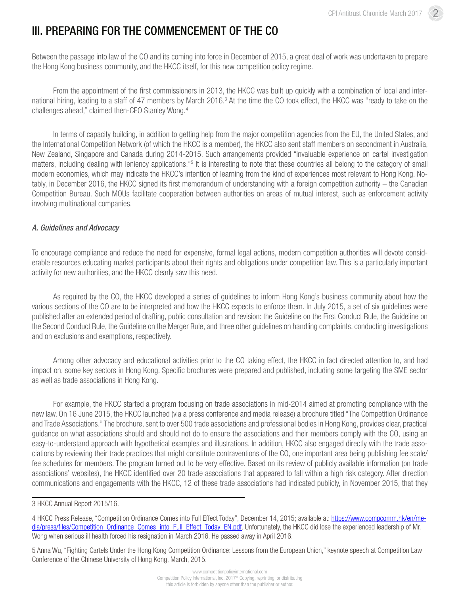# III. PREPARING FOR THE COMMENCEMENT OF THE CO

Between the passage into law of the CO and its coming into force in December of 2015, a great deal of work was undertaken to prepare the Hong Kong business community, and the HKCC itself, for this new competition policy regime.

From the appointment of the first commissioners in 2013, the HKCC was built up quickly with a combination of local and international hiring, leading to a staff of 47 members by March 2016.<sup>3</sup> At the time the CO took effect, the HKCC was "ready to take on the challenges ahead," claimed then-CEO Stanley Wong.4

In terms of capacity building, in addition to getting help from the major competition agencies from the EU, the United States, and the International Competition Network (of which the HKCC is a member), the HKCC also sent staff members on secondment in Australia, New Zealand, Singapore and Canada during 2014-2015. Such arrangements provided "invaluable experience on cartel investigation matters, including dealing with leniency applications."<sup>5</sup> It is interesting to note that these countries all belong to the category of small modern economies, which may indicate the HKCC's intention of learning from the kind of experiences most relevant to Hong Kong. Notably, in December 2016, the HKCC signed its first memorandum of understanding with a foreign competition authority – the Canadian Competition Bureau. Such MOUs facilitate cooperation between authorities on areas of mutual interest, such as enforcement activity involving multinational companies.

#### *A. Guidelines and Advocacy*

To encourage compliance and reduce the need for expensive, formal legal actions, modern competition authorities will devote considerable resources educating market participants about their rights and obligations under competition law. This is a particularly important activity for new authorities, and the HKCC clearly saw this need.

As required by the CO, the HKCC developed a series of guidelines to inform Hong Kong's business community about how the various sections of the CO are to be interpreted and how the HKCC expects to enforce them. In July 2015, a set of six guidelines were published after an extended period of drafting, public consultation and revision: the Guideline on the First Conduct Rule, the Guideline on the Second Conduct Rule, the Guideline on the Merger Rule, and three other guidelines on handling complaints, conducting investigations and on exclusions and exemptions, respectively.

Among other advocacy and educational activities prior to the CO taking effect, the HKCC in fact directed attention to, and had impact on, some key sectors in Hong Kong. Specific brochures were prepared and published, including some targeting the SME sector as well as trade associations in Hong Kong.

For example, the HKCC started a program focusing on trade associations in mid-2014 aimed at promoting compliance with the new law. On 16 June 2015, the HKCC launched (via a press conference and media release) a brochure titled "The Competition Ordinance and Trade Associations." The brochure, sent to over 500 trade associations and professional bodies in Hong Kong, provides clear, practical guidance on what associations should and should not do to ensure the associations and their members comply with the CO, using an easy-to-understand approach with hypothetical examples and illustrations. In addition, HKCC also engaged directly with the trade associations by reviewing their trade practices that might constitute contraventions of the CO, one important area being publishing fee scale/ fee schedules for members. The program turned out to be very effective. Based on its review of publicly available information (on trade associations' websites), the HKCC identified over 20 trade associations that appeared to fall within a high risk category. After direction communications and engagements with the HKCC, 12 of these trade associations had indicated publicly, in November 2015, that they

5 Anna Wu, "Fighting Cartels Under the Hong Kong Competition Ordinance: Lessons from the European Union," keynote speech at Competition Law Conference of the Chinese University of Hong Kong, March, 2015.

<sup>3</sup> HKCC Annual Report 2015/16.

<sup>4</sup> HKCC Press Release, "Competition Ordinance Comes into Full Effect Today", December 14, 2015; available at: https://www.compcomm.hk/en/media/press/files/Competition\_Ordinance\_Comes\_into\_Full\_Effect\_Today\_EN.pdf. Unfortunately, the HKCC did lose the experienced leadership of Mr. Wong when serious ill health forced his resignation in March 2016. He passed away in April 2016.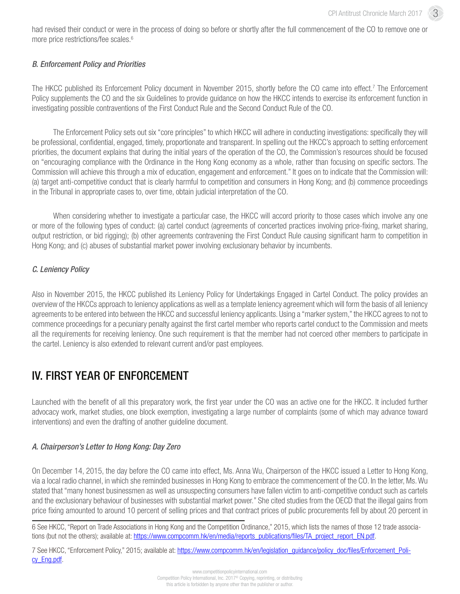had revised their conduct or were in the process of doing so before or shortly after the full commencement of the CO to remove one or more price restrictions/fee scales.<sup>6</sup>

#### *B. Enforcement Policy and Priorities*

The HKCC published its Enforcement Policy document in November 2015, shortly before the CO came into effect.<sup>7</sup> The Enforcement Policy supplements the CO and the six Guidelines to provide guidance on how the HKCC intends to exercise its enforcement function in investigating possible contraventions of the First Conduct Rule and the Second Conduct Rule of the CO.

The Enforcement Policy sets out six "core principles" to which HKCC will adhere in conducting investigations: specifically they will be professional, confidential, engaged, timely, proportionate and transparent. In spelling out the HKCC's approach to setting enforcement priorities, the document explains that during the initial years of the operation of the CO, the Commission's resources should be focused on "encouraging compliance with the Ordinance in the Hong Kong economy as a whole, rather than focusing on specific sectors. The Commission will achieve this through a mix of education, engagement and enforcement." It goes on to indicate that the Commission will: (a) target anti-competitive conduct that is clearly harmful to competition and consumers in Hong Kong; and (b) commence proceedings in the Tribunal in appropriate cases to, over time, obtain judicial interpretation of the CO.

When considering whether to investigate a particular case, the HKCC will accord priority to those cases which involve any one or more of the following types of conduct: (a) cartel conduct (agreements of concerted practices involving price-fixing, market sharing, output restriction, or bid rigging); (b) other agreements contravening the First Conduct Rule causing significant harm to competition in Hong Kong; and (c) abuses of substantial market power involving exclusionary behavior by incumbents.

#### *C. Leniency Policy*

Also in November 2015, the HKCC published its Leniency Policy for Undertakings Engaged in Cartel Conduct. The policy provides an overview of the HKCCs approach to leniency applications as well as a template leniency agreement which will form the basis of all leniency agreements to be entered into between the HKCC and successful leniency applicants. Using a "marker system," the HKCC agrees to not to commence proceedings for a pecuniary penalty against the first cartel member who reports cartel conduct to the Commission and meets all the requirements for receiving leniency. One such requirement is that the member had not coerced other members to participate in the cartel. Leniency is also extended to relevant current and/or past employees.

### IV. FIRST YEAR OF ENFORCEMENT

Launched with the benefit of all this preparatory work, the first year under the CO was an active one for the HKCC. It included further advocacy work, market studies, one block exemption, investigating a large number of complaints (some of which may advance toward interventions) and even the drafting of another guideline document.

#### *A. Chairperson's Letter to Hong Kong: Day Zero*

On December 14, 2015, the day before the CO came into effect, Ms. Anna Wu, Chairperson of the HKCC issued a Letter to Hong Kong, via a local radio channel, in which she reminded businesses in Hong Kong to embrace the commencement of the CO. In the letter, Ms. Wu stated that "many honest businessmen as well as unsuspecting consumers have fallen victim to anti-competitive conduct such as cartels and the exclusionary behaviour of businesses with substantial market power." She cited studies from the OECD that the illegal gains from price fixing amounted to around 10 percent of selling prices and that contract prices of public procurements fell by about 20 percent in

7 See HKCC, "Enforcement Policy," 2015; available at: https://www.compcomm.hk/en/legislation quidance/policy doc/files/Enforcement Policy\_Eng.pdf.

<sup>6</sup> See HKCC, "Report on Trade Associations in Hong Kong and the Competition Ordinance," 2015, which lists the names of those 12 trade associations (but not the others); available at: https://www.compcomm.hk/en/media/reports\_publications/files/TA\_project\_report\_EN.pdf.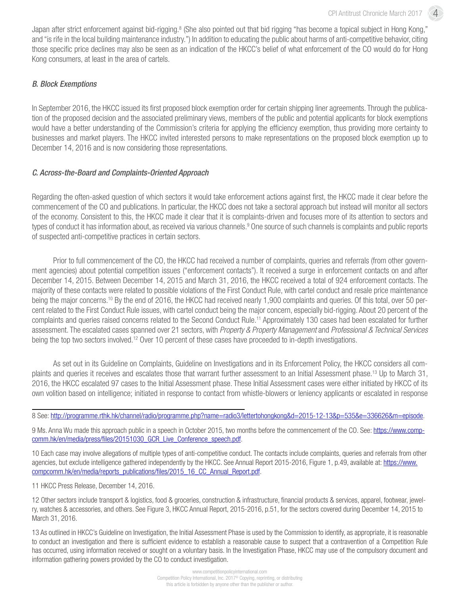Japan after strict enforcement against bid-rigging.<sup>8</sup> (She also pointed out that bid rigging "has become a topical subject in Hong Kong," and "is rife in the local building maintenance industry.") In addition to educating the public about harms of anti-competitive behavior, citing those specific price declines may also be seen as an indication of the HKCC's belief of what enforcement of the CO would do for Hong Kong consumers, at least in the area of cartels.

#### *B. Block Exemptions*

In September 2016, the HKCC issued its first proposed block exemption order for certain shipping liner agreements. Through the publication of the proposed decision and the associated preliminary views, members of the public and potential applicants for block exemptions would have a better understanding of the Commission's criteria for applying the efficiency exemption, thus providing more certainty to businesses and market players. The HKCC invited interested persons to make representations on the proposed block exemption up to December 14, 2016 and is now considering those representations.

#### *C. Across-the-Board and Complaints-Oriented Approach*

Regarding the often-asked question of which sectors it would take enforcement actions against first, the HKCC made it clear before the commencement of the CO and publications. In particular, the HKCC does not take a sectoral approach but instead will monitor all sectors of the economy. Consistent to this, the HKCC made it clear that it is complaints-driven and focuses more of its attention to sectors and types of conduct it has information about, as received via various channels.<sup>9</sup> One source of such channels is complaints and public reports of suspected anti-competitive practices in certain sectors.

Prior to full commencement of the CO, the HKCC had received a number of complaints, queries and referrals (from other government agencies) about potential competition issues ("enforcement contacts"). It received a surge in enforcement contacts on and after December 14, 2015. Between December 14, 2015 and March 31, 2016, the HKCC received a total of 924 enforcement contacts. The majority of these contacts were related to possible violations of the First Conduct Rule, with cartel conduct and resale price maintenance being the major concerns.10 By the end of 2016, the HKCC had received nearly 1,900 complaints and queries. Of this total, over 50 percent related to the First Conduct Rule issues, with cartel conduct being the major concern, especially bid-rigging. About 20 percent of the complaints and queries raised concerns related to the Second Conduct Rule.11 Approximately 130 cases had been escalated for further assessment. The escalated cases spanned over 21 sectors, with *Property & Property Management* and *Professional & Technical Services* being the top two sectors involved.12 Over 10 percent of these cases have proceeded to in-depth investigations.

As set out in its Guideline on Complaints, Guideline on Investigations and in its Enforcement Policy, the HKCC considers all complaints and queries it receives and escalates those that warrant further assessment to an Initial Assessment phase.13 Up to March 31, 2016, the HKCC escalated 97 cases to the Initial Assessment phase. These Initial Assessment cases were either initiated by HKCC of its own volition based on intelligence; initiated in response to contact from whistle-blowers or leniency applicants or escalated in response

9 Ms. Anna Wu made this approach public in a speech in October 2015, two months before the commencement of the CO. See: https://www.compcomm.hk/en/media/press/files/20151030\_GCR\_Live\_Conference\_speech.pdf.

10 Each case may involve allegations of multiple types of anti-competitive conduct. The contacts include complaints, queries and referrals from other agencies, but exclude intelligence gathered independently by the HKCC. See Annual Report 2015-2016, Figure 1, p.49, available at: https://www. compcomm.hk/en/media/reports\_publications/files/2015\_16\_CC\_Annual\_Report.pdf.

11 HKCC Press Release, December 14, 2016.

<sup>8</sup> See: http://programme.rthk.hk/channel/radio/programme.php?name=radio3/lettertohongkong&d=2015-12-13&p=535&e=336626&m=episode.

<sup>12</sup> Other sectors include transport & logistics, food & groceries, construction & infrastructure, financial products & services, apparel, footwear, jewelry, watches & accessories, and others. See Figure 3, HKCC Annual Report, 2015-2016, p.51, for the sectors covered during December 14, 2015 to March 31, 2016.

<sup>13</sup> As outlined in HKCC's Guideline on Investigation, the Initial Assessment Phase is used by the Commission to identify, as appropriate, it is reasonable to conduct an investigation and there is sufficient evidence to establish a reasonable cause to suspect that a contravention of a Competition Rule has occurred, using information received or sought on a voluntary basis. In the Investigation Phase, HKCC may use of the compulsory document and information gathering powers provided by the CO to conduct investigation.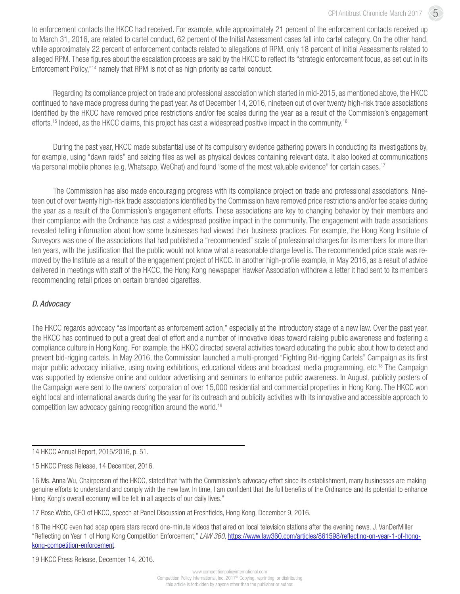to enforcement contacts the HKCC had received. For example, while approximately 21 percent of the enforcement contacts received up to March 31, 2016, are related to cartel conduct, 62 percent of the Initial Assessment cases fall into cartel category. On the other hand, while approximately 22 percent of enforcement contacts related to allegations of RPM, only 18 percent of Initial Assessments related to alleged RPM. These figures about the escalation process are said by the HKCC to reflect its "strategic enforcement focus, as set out in its Enforcement Policy,"14 namely that RPM is not of as high priority as cartel conduct.

Regarding its compliance project on trade and professional association which started in mid-2015, as mentioned above, the HKCC continued to have made progress during the past year. As of December 14, 2016, nineteen out of over twenty high-risk trade associations identified by the HKCC have removed price restrictions and/or fee scales during the year as a result of the Commission's engagement efforts.15 Indeed, as the HKCC claims, this project has cast a widespread positive impact in the community.16

During the past year, HKCC made substantial use of its compulsory evidence gathering powers in conducting its investigations by, for example, using "dawn raids" and seizing files as well as physical devices containing relevant data. It also looked at communications via personal mobile phones (e.g. Whatsapp, WeChat) and found "some of the most valuable evidence" for certain cases.17

The Commission has also made encouraging progress with its compliance project on trade and professional associations. Nineteen out of over twenty high-risk trade associations identified by the Commission have removed price restrictions and/or fee scales during the year as a result of the Commission's engagement efforts. These associations are key to changing behavior by their members and their compliance with the Ordinance has cast a widespread positive impact in the community. The engagement with trade associations revealed telling information about how some businesses had viewed their business practices. For example, the Hong Kong Institute of Surveyors was one of the associations that had published a "recommended" scale of professional charges for its members for more than ten years, with the justification that the public would not know what a reasonable charge level is. The recommended price scale was removed by the Institute as a result of the engagement project of HKCC. In another high-profile example, in May 2016, as a result of advice delivered in meetings with staff of the HKCC, the Hong Kong newspaper Hawker Association withdrew a letter it had sent to its members recommending retail prices on certain branded cigarettes.

#### *D. Advocacy*

The HKCC regards advocacy "as important as enforcement action," especially at the introductory stage of a new law. Over the past year, the HKCC has continued to put a great deal of effort and a number of innovative ideas toward raising public awareness and fostering a compliance culture in Hong Kong. For example, the HKCC directed several activities toward educating the public about how to detect and prevent bid-rigging cartels. In May 2016, the Commission launched a multi-pronged "Fighting Bid-rigging Cartels" Campaign as its first major public advocacy initiative, using roving exhibitions, educational videos and broadcast media programming, etc.<sup>18</sup> The Campaign was supported by extensive online and outdoor advertising and seminars to enhance public awareness. In August, publicity posters of the Campaign were sent to the owners' corporation of over 15,000 residential and commercial properties in Hong Kong. The HKCC won eight local and international awards during the year for its outreach and publicity activities with its innovative and accessible approach to competition law advocacy gaining recognition around the world.19

19 HKCC Press Release, December 14, 2016.

<sup>14</sup> HKCC Annual Report, 2015/2016, p. 51.

<sup>15</sup> HKCC Press Release, 14 December, 2016.

<sup>16</sup> Ms. Anna Wu, Chairperson of the HKCC, stated that "with the Commission's advocacy effort since its establishment, many businesses are making genuine efforts to understand and comply with the new law. In time, I am confident that the full benefits of the Ordinance and its potential to enhance Hong Kong's overall economy will be felt in all aspects of our daily lives."

<sup>17</sup> Rose Webb, CEO of HKCC, speech at Panel Discussion at Freshfields, Hong Kong, December 9, 2016.

<sup>18</sup> The HKCC even had soap opera stars record one-minute videos that aired on local television stations after the evening news. J. VanDerMiller "Reflecting on Year 1 of Hong Kong Competition Enforcement," *LAW 360*, https://www.law360.com/articles/861598/reflecting-on-year-1-of-hongkong-competition-enforcement.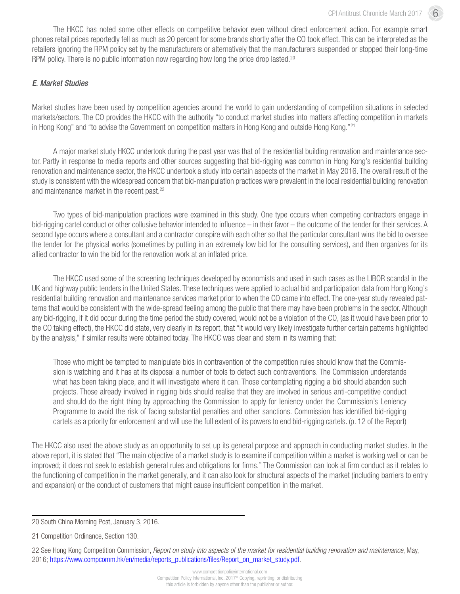The HKCC has noted some other effects on competitive behavior even without direct enforcement action. For example smart phones retail prices reportedly fell as much as 20 percent for some brands shortly after the CO took effect. This can be interpreted as the retailers ignoring the RPM policy set by the manufacturers or alternatively that the manufacturers suspended or stopped their long-time RPM policy. There is no public information now regarding how long the price drop lasted.<sup>20</sup>

#### *E. Market Studies*

Market studies have been used by competition agencies around the world to gain understanding of competition situations in selected markets/sectors. The CO provides the HKCC with the authority "to conduct market studies into matters affecting competition in markets in Hong Kong" and "to advise the Government on competition matters in Hong Kong and outside Hong Kong."<sup>21</sup>

A major market study HKCC undertook during the past year was that of the residential building renovation and maintenance sector. Partly in response to media reports and other sources suggesting that bid-rigging was common in Hong Kong's residential building renovation and maintenance sector, the HKCC undertook a study into certain aspects of the market in May 2016. The overall result of the study is consistent with the widespread concern that bid-manipulation practices were prevalent in the local residential building renovation and maintenance market in the recent past.<sup>22</sup>

Two types of bid-manipulation practices were examined in this study. One type occurs when competing contractors engage in bid-rigging cartel conduct or other collusive behavior intended to influence – in their favor – the outcome of the tender for their services. A second type occurs where a consultant and a contractor conspire with each other so that the particular consultant wins the bid to oversee the tender for the physical works (sometimes by putting in an extremely low bid for the consulting services), and then organizes for its allied contractor to win the bid for the renovation work at an inflated price.

The HKCC used some of the screening techniques developed by economists and used in such cases as the LIBOR scandal in the UK and highway public tenders in the United States. These techniques were applied to actual bid and participation data from Hong Kong's residential building renovation and maintenance services market prior to when the CO came into effect. The one-year study revealed patterns that would be consistent with the wide-spread feeling among the public that there may have been problems in the sector. Although any bid-rigging, if it did occur during the time period the study covered, would not be a violation of the CO, (as it would have been prior to the CO taking effect), the HKCC did state, very clearly in its report, that "it would very likely investigate further certain patterns highlighted by the analysis," if similar results were obtained today. The HKCC was clear and stern in its warning that:

Those who might be tempted to manipulate bids in contravention of the competition rules should know that the Commission is watching and it has at its disposal a number of tools to detect such contraventions. The Commission understands what has been taking place, and it will investigate where it can. Those contemplating rigging a bid should abandon such projects. Those already involved in rigging bids should realise that they are involved in serious anti-competitive conduct and should do the right thing by approaching the Commission to apply for leniency under the Commission's Leniency Programme to avoid the risk of facing substantial penalties and other sanctions. Commission has identified bid-rigging cartels as a priority for enforcement and will use the full extent of its powers to end bid-rigging cartels. (p. 12 of the Report)

The HKCC also used the above study as an opportunity to set up its general purpose and approach in conducting market studies. In the above report, it is stated that "The main objective of a market study is to examine if competition within a market is working well or can be improved; it does not seek to establish general rules and obligations for firms." The Commission can look at firm conduct as it relates to the functioning of competition in the market generally, and it can also look for structural aspects of the market (including barriers to entry and expansion) or the conduct of customers that might cause insufficient competition in the market.

<sup>20</sup> South China Morning Post, January 3, 2016.

<sup>21</sup> Competition Ordinance, Section 130.

<sup>22</sup> See Hong Kong Competition Commission, *Report on study into aspects of the market for residential building renovation and maintenance*, May, 2016; https://www.compcomm.hk/en/media/reports\_publications/files/Report\_on\_market\_study.pdf.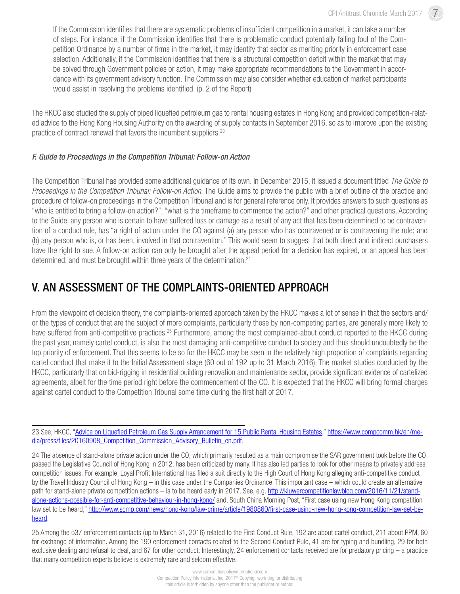If the Commission identifies that there are systematic problems of insufficient competition in a market, it can take a number of steps. For instance, if the Commission identifies that there is problematic conduct potentially falling foul of the Competition Ordinance by a number of firms in the market, it may identify that sector as meriting priority in enforcement case selection. Additionally, if the Commission identifies that there is a structural competition deficit within the market that may be solved through Government policies or action, it may make appropriate recommendations to the Government in accordance with its government advisory function. The Commission may also consider whether education of market participants would assist in resolving the problems identified. (p. 2 of the Report)

The HKCC also studied the supply of piped liquefied petroleum gas to rental housing estates in Hong Kong and provided competition-related advice to the Hong Kong Housing Authority on the awarding of supply contacts in September 2016, so as to improve upon the existing practice of contract renewal that favors the incumbent suppliers.23

#### *F. Guide to Proceedings in the Competition Tribunal: Follow-on Action*

The Competition Tribunal has provided some additional guidance of its own. In December 2015, it issued a document titled *The Guide to Proceedings in the Competition Tribunal: Follow-on Action*. The Guide aims to provide the public with a brief outline of the practice and procedure of follow-on proceedings in the Competition Tribunal and is for general reference only. It provides answers to such questions as "who is entitled to bring a follow-on action?"; "what is the timeframe to commence the action?" and other practical questions. According to the Guide, any person who is certain to have suffered loss or damage as a result of any act that has been determined to be contravention of a conduct rule, has "a right of action under the CO against (a) any person who has contravened or is contravening the rule; and (b) any person who is, or has been, involved in that contravention." This would seem to suggest that both direct and indirect purchasers have the right to sue. A follow-on action can only be brought after the appeal period for a decision has expired, or an appeal has been determined, and must be brought within three years of the determination.<sup>24</sup>

# V. AN ASSESSMENT OF THE COMPLAINTS-ORIENTED APPROACH

From the viewpoint of decision theory, the complaints-oriented approach taken by the HKCC makes a lot of sense in that the sectors and/ or the types of conduct that are the subject of more complaints, particularly those by non-competing parties, are generally more likely to have suffered from anti-competitive practices.<sup>25</sup> Furthermore, among the most complained-about conduct reported to the HKCC during the past year, namely cartel conduct, is also the most damaging anti-competitive conduct to society and thus should undoubtedly be the top priority of enforcement. That this seems to be so for the HKCC may be seen in the relatively high proportion of complaints regarding cartel conduct that make it to the Initial Assessment stage (60 out of 192 up to 31 March 2016). The market studies conducted by the HKCC, particularly that on bid-rigging in residential building renovation and maintenance sector, provide significant evidence of cartelized agreements, albeit for the time period right before the commencement of the CO. It is expected that the HKCC will bring formal charges against cartel conduct to the Competition Tribunal some time during the first half of 2017.

23 See, HKCC, "Advice on Liquefied Petroleum Gas Supply Arrangement for 15 Public Rental Housing Estates," https://www.compcomm.hk/en/media/press/files/20160908\_Competition\_Commission\_Advisory\_Bulletin\_en.pdf.

24 The absence of stand-alone private action under the CO, which primarily resulted as a main compromise the SAR government took before the CO passed the Legislative Council of Hong Kong in 2012, has been criticized by many. It has also led parties to look for other means to privately address competition issues. For example, Loyal Profit International has filed a suit directly to the High Court of Hong Kong alleging anti-competitive conduct by the Travel Industry Council of Hong Kong – in this case under the Companies Ordinance. This important case – which could create an alternative path for stand-alone private competition actions – is to be heard early in 2017. See, e.g. http://kluwercompetitionlawblog.com/2016/11/21/standalone-actions-possible-for-anti-competitive-behaviour-in-hong-kong/ and, South China Morning Post, "First case using new Hong Kong competition law set to be heard," http://www.scmp.com/news/hong-kong/law-crime/article/1980860/first-case-using-new-hong-kong-competition-law-set-beheard.

25 Among the 537 enforcement contacts (up to March 31, 2016) related to the First Conduct Rule, 192 are about cartel conduct, 211 about RPM, 60 for exchange of information. Among the 190 enforcement contacts related to the Second Conduct Rule, 41 are for typing and bundling, 29 for both exclusive dealing and refusal to deal, and 67 for other conduct. Interestingly, 24 enforcement contacts received are for predatory pricing – a practice that many competition experts believe is extremely rare and seldom effective.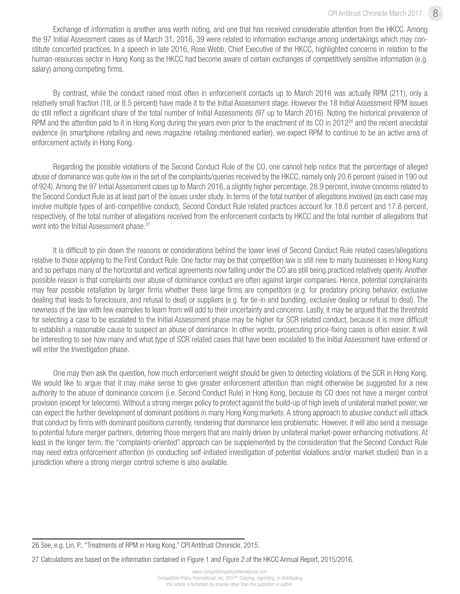Exchange of information is another area worth noting, and one that has received considerable attention from the HKCC. Among the 97 Initial Assessment cases as of March 31, 2016, 39 were related to information exchange among undertakings which may constitute concerted practices. In a speech in late 2016, Rose Webb, Chief Executive of the HKCC, highlighted concerns in relation to the human-resources sector in Hong Kong as the HKCC had become aware of certain exchanges of competitively sensitive information (e.g. salary) among competing firms.

By contrast, while the conduct raised most often in enforcement contacts up to March 2016 was actually RPM (211), only a relatively small fraction (18, or 8.5 percent) have made it to the Initial Assessment stage. However the 18 Initial Assessment RPM issues do still reflect a significant share of the total number of Initial Assessments (97 up to March 2016). Noting the historical prevalence of RPM and the attention paid to it in Hong Kong during the years even prior to the enactment of its CO in 2012<sup>26</sup> and the recent anecdotal evidence (in smartphone retailing and news magazine retailing mentioned earlier), we expect RPM to continue to be an active area of enforcement activity in Hong Kong.

Regarding the possible violations of the Second Conduct Rule of the CO, one cannot help notice that the percentage of alleged abuse of dominance was quite low in the set of the complaints/queries received by the HKCC, namely only 20.6 percent (raised in 190 out of 924). Among the 97 Initial Assessment cases up to March 2016, a slightly higher percentage, 28.9 percent, involve concerns related to the Second Conduct Rule as at least part of the issues under study. In terms of the total number of allegations involved (as each case may involve multiple types of anti-competitive conduct), Second Conduct Rule related practices account for 18.6 percent and 17.8 percent, respectively, of the total number of allegations received from the enforcement contacts by HKCC and the total number of allegations that went into the Initial Assessment phase.<sup>27</sup>

It is difficult to pin down the reasons or considerations behind the lower level of Second Conduct Rule related cases/allegations relative to those applying to the First Conduct Rule. One factor may be that competition law is still new to many businesses in Hong Kong and so perhaps many of the horizontal and vertical agreements now falling under the CO are still being practiced relatively openly. Another possible reason is that complaints over abuse of dominance conduct are often against larger companies. Hence, potential complainants may fear possible retaliation by larger firms whether these large firms are competitors (e.g. for predatory pricing behavior, exclusive dealing that leads to foreclosure, and refusal to deal) or suppliers (e.g. for tie-in and bundling, exclusive dealing or refusal to deal). The newness of the law with few examples to learn from will add to their uncertainty and concerns. Lastly, it may be argued that the threshold for selecting a case to be escalated to the Initial Assessment phase may be higher for SCR related conduct, because it is more difficult to establish a reasonable cause to suspect an abuse of dominance. In other words, prosecuting price-fixing cases is often easier. It will be interesting to see how many and what type of SCR related cases that have been escalated to the Initial Assessment have entered or will enter the Investigation phase.

One may then ask the question, how much enforcement weight should be given to detecting violations of the SCR in Hong Kong. We would like to argue that it may make sense to give greater enforcement attention than might otherwise be suggested for a new authority to the abuse of dominance concern (i.e. Second Conduct Rule) in Hong Kong, because its CO does not have a merger control provision (except for telecoms). Without a strong merger policy to protect against the build-up of high levels of unilateral market power, we can expect the further development of dominant positions in many Hong Kong markets. A strong approach to abusive conduct will attack that conduct by firms with dominant positions currently, rendering that dominance less problematic. However, it will also send a message to potential future merger partners, deterring those mergers that are mainly driven by unilateral market-power enhancing motivations. At least in the longer term, the "complaints-oriented" approach can be supplemented by the consideration that the Second Conduct Rule may need extra enforcement attention (in conducting self-initiated investigation of potential violations and/or market studies) than in a jurisdiction where a strong merger control scheme is also available.

26 See, e.g. Lin, P., "Treatments of RPM in Hong Kong," CPI Antitrust Chronicle, 2015.

27 Calculations are based on the information contained in Figure 1 and Figure 2 of the HKCC Annual Report, 2015/2016.